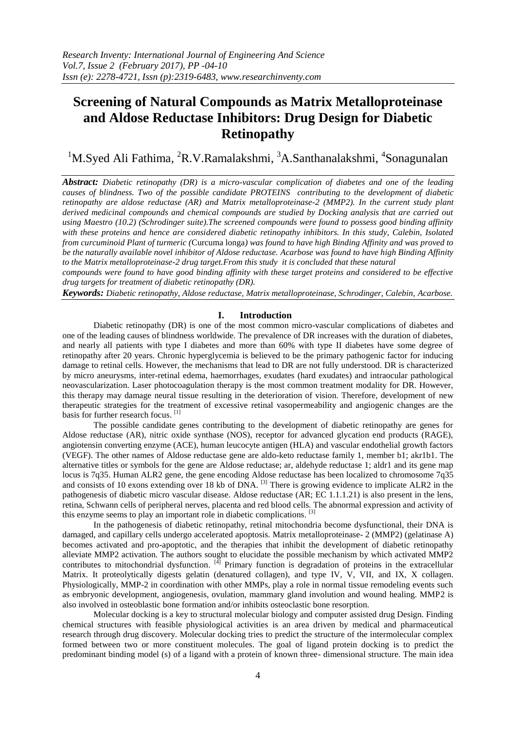# **Screening of Natural Compounds as Matrix Metalloproteinase and Aldose Reductase Inhibitors: Drug Design for Diabetic Retinopathy**

<sup>1</sup>M.Syed Ali Fathima, <sup>2</sup>R.V.Ramalakshmi, <sup>3</sup>A.Santhanalakshmi, <sup>4</sup>Sonagunalan

*Abstract: Diabetic retinopathy (DR) is a micro-vascular complication of diabetes and one of the leading causes of blindness. Two of the possible candidate PROTEINS contributing to the development of diabetic retinopathy are aldose reductase (AR) and Matrix metalloproteinase-2 (MMP2). In the current study plant derived medicinal compounds and chemical compounds are studied by Docking analysis that are carried out using Maestro (10.2) (Schrodinger suite).The screened compounds were found to possess good binding affinity*  with these proteins and hence are considered diabetic retinopathy inhibitors. In this study, Calebin, Isolated *from curcuminoid Plant of turmeric (*Curcuma longa*) was found to have high Binding Affinity and was proved to be the naturally available novel inhibitor of Aldose reductase. Acarbose was found to have high Binding Affinity to the Matrix metalloproteinase-2 drug target.From this study it is concluded that these natural*

*compounds were found to have good binding affinity with these target proteins and considered to be effective drug targets for treatment of diabetic retinopathy (DR).*

*Keywords: Diabetic retinopathy, Aldose reductase, Matrix metalloproteinase, Schrodinger, Calebin, Acarbose.*

#### **I. Introduction**

Diabetic retinopathy (DR) is one of the most common micro-vascular complications of diabetes and one of the leading causes of blindness worldwide. The prevalence of DR increases with the duration of diabetes, and nearly all patients with type I diabetes and more than 60% with type II diabetes have some degree of retinopathy after 20 years. Chronic hyperglycemia is believed to be the primary pathogenic factor for inducing damage to retinal cells. However, the mechanisms that lead to DR are not fully understood. DR is characterized by micro aneurysms, inter-retinal edema, haemorrhages, exudates (hard exudates) and intraocular pathological neovascularization. Laser photocoagulation therapy is the most common treatment modality for DR. However, this therapy may damage neural tissue resulting in the deterioration of vision. Therefore, development of new therapeutic strategies for the treatment of excessive retinal vasopermeability and angiogenic changes are the basis for further research focus.<sup>[1]</sup>

The possible candidate genes contributing to the development of diabetic retinopathy are genes for Aldose reductase (AR), nitric oxide synthase (NOS), receptor for advanced glycation end products (RAGE), angiotensin converting enzyme (ACE), human leucocyte antigen (HLA) and vascular endothelial growth factors (VEGF). The other names of Aldose reductase gene are aldo-keto reductase family 1, member b1; akr1b1. The alternative titles or symbols for the gene are Aldose reductase; ar, aldehyde reductase 1; aldr1 and its gene map locus is 7q35. Human ALR2 gene, the gene encoding Aldose reductase has been localized to chromosome 7q35 and consists of 10 exons extending over 18 kb of DNA. <sup>[3]</sup> There is growing evidence to implicate ALR2 in the pathogenesis of diabetic micro vascular disease. Aldose reductase (AR; EC 1.1.1.21) is also present in the lens, retina, Schwann cells of peripheral nerves, placenta and red blood cells. The abnormal expression and activity of this enzyme seems to play an important role in diabetic complications.<sup>[3]</sup>

In the pathogenesis of diabetic retinopathy, retinal mitochondria become dysfunctional, their DNA is damaged, and capillary cells undergo accelerated apoptosis. Matrix metalloproteinase- 2 (MMP2) (gelatinase A) becomes activated and pro-apoptotic, and the therapies that inhibit the development of diabetic retinopathy alleviate MMP2 activation. The authors sought to elucidate the possible mechanism by which activated MMP2 contributes to mitochondrial dysfunction.  $\left[ \begin{array}{c} \text{[4]} \\ \text{1]}\end{array}\right]$  Primary function is degradation of proteins in the extracellular Matrix. It proteolytically digests gelatin (denatured collagen), and type IV, V, VII, and IX, X collagen. Physiologically, MMP-2 in coordination with other MMPs, play a role in normal tissue remodeling events such as embryonic development, angiogenesis, ovulation, mammary gland involution and wound healing. MMP2 is also involved in osteoblastic bone formation and/or inhibits osteoclastic bone resorption.

Molecular docking is a key to structural molecular biology and computer assisted drug Design. Finding chemical structures with feasible physiological activities is an area driven by medical and pharmaceutical research through drug discovery. Molecular docking tries to predict the structure of the intermolecular complex formed between two or more constituent molecules. The goal of ligand protein docking is to predict the predominant binding model (s) of a ligand with a protein of known three- dimensional structure. The main idea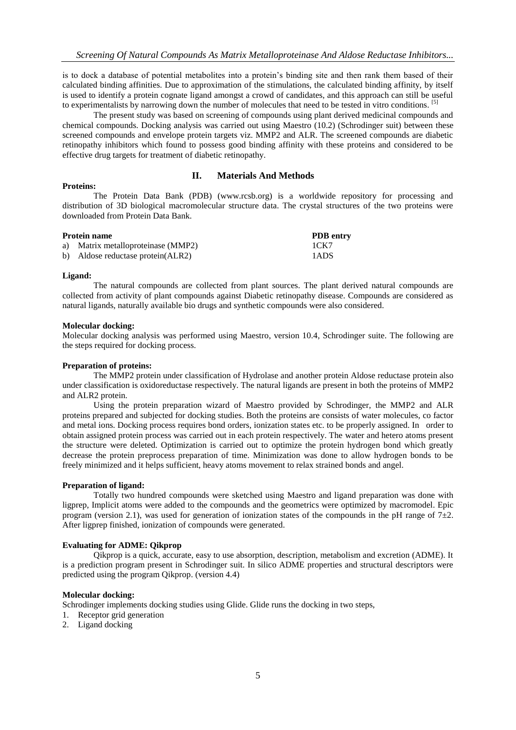is to dock a database of potential metabolites into a protein's binding site and then rank them based of their calculated binding affinities. Due to approximation of the stimulations, the calculated binding affinity, by itself is used to identify a protein cognate ligand amongst a crowd of candidates, and this approach can still be useful to experimentalists by narrowing down the number of molecules that need to be tested in vitro conditions. [5]

The present study was based on screening of compounds using plant derived medicinal compounds and chemical compounds. Docking analysis was carried out using Maestro (10.2) (Schrodinger suit) between these screened compounds and envelope protein targets viz. MMP2 and ALR. The screened compounds are diabetic retinopathy inhibitors which found to possess good binding affinity with these proteins and considered to be effective drug targets for treatment of diabetic retinopathy.

# **II. Materials And Methods**

## **Proteins:**

The Protein Data Bank (PDB) (www.rcsb.org) is a worldwide repository for processing and distribution of 3D biological macromolecular structure data. The crystal structures of the two proteins were downloaded from Protein Data Bank.

| <b>Protein name</b>                | <b>PDB</b> entry<br>1CK7 |
|------------------------------------|--------------------------|
| a) Matrix metalloproteinase (MMP2) |                          |
| b) Aldose reductase protein(ALR2)  | 1ADS                     |

#### **Ligand:**

The natural compounds are collected from plant sources. The plant derived natural compounds are collected from activity of plant compounds against Diabetic retinopathy disease. Compounds are considered as natural ligands, naturally available bio drugs and synthetic compounds were also considered.

### **Molecular docking:**

Molecular docking analysis was performed using Maestro, version 10.4, Schrodinger suite. The following are the steps required for docking process.

## **Preparation of proteins:**

The MMP2 protein under classification of Hydrolase and another protein Aldose reductase protein also under classification is oxidoreductase respectively. The natural ligands are present in both the proteins of MMP2 and ALR2 protein.

Using the protein preparation wizard of Maestro provided by Schrodinger, the MMP2 and ALR proteins prepared and subjected for docking studies. Both the proteins are consists of water molecules, co factor and metal ions. Docking process requires bond orders, ionization states etc. to be properly assigned. In order to obtain assigned protein process was carried out in each protein respectively. The water and hetero atoms present the structure were deleted. Optimization is carried out to optimize the protein hydrogen bond which greatly decrease the protein preprocess preparation of time. Minimization was done to allow hydrogen bonds to be freely minimized and it helps sufficient, heavy atoms movement to relax strained bonds and angel.

#### **Preparation of ligand:**

Totally two hundred compounds were sketched using Maestro and ligand preparation was done with ligprep, Implicit atoms were added to the compounds and the geometrics were optimized by macromodel. Epic program (version 2.1), was used for generation of ionization states of the compounds in the pH range of  $7\pm2$ . After ligprep finished, ionization of compounds were generated.

## **Evaluating for ADME: Qikprop**

Qikprop is a quick, accurate, easy to use absorption, description, metabolism and excretion (ADME). It is a prediction program present in Schrodinger suit. In silico ADME properties and structural descriptors were predicted using the program Qikprop. (version 4.4)

#### **Molecular docking:**

Schrodinger implements docking studies using Glide. Glide runs the docking in two steps,

- 1. Receptor grid generation
- 2. Ligand docking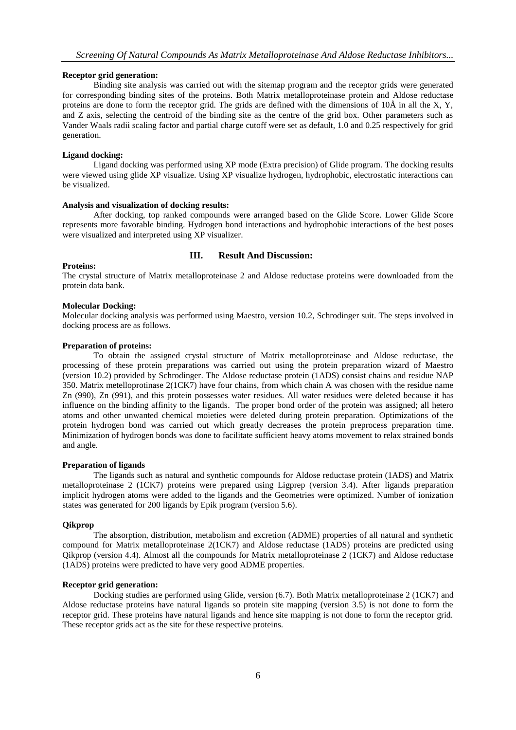## **Receptor grid generation:**

Binding site analysis was carried out with the sitemap program and the receptor grids were generated for corresponding binding sites of the proteins. Both Matrix metalloproteinase protein and Aldose reductase proteins are done to form the receptor grid. The grids are defined with the dimensions of 10Å in all the X, Y, and Z axis, selecting the centroid of the binding site as the centre of the grid box. Other parameters such as Vander Waals radii scaling factor and partial charge cutoff were set as default, 1.0 and 0.25 respectively for grid generation.

## **Ligand docking:**

Ligand docking was performed using XP mode (Extra precision) of Glide program. The docking results were viewed using glide XP visualize. Using XP visualize hydrogen, hydrophobic, electrostatic interactions can be visualized.

# **Analysis and visualization of docking results:**

After docking, top ranked compounds were arranged based on the Glide Score. Lower Glide Score represents more favorable binding. Hydrogen bond interactions and hydrophobic interactions of the best poses were visualized and interpreted using XP visualizer.

## **III. Result And Discussion:**

## **Proteins:**

The crystal structure of Matrix metalloproteinase 2 and Aldose reductase proteins were downloaded from the protein data bank.

#### **Molecular Docking:**

Molecular docking analysis was performed using Maestro, version 10.2, Schrodinger suit. The steps involved in docking process are as follows.

# **Preparation of proteins:**

To obtain the assigned crystal structure of Matrix metalloproteinase and Aldose reductase, the processing of these protein preparations was carried out using the protein preparation wizard of Maestro (version 10.2) provided by Schrodinger. The Aldose reductase protein (1ADS) consist chains and residue NAP 350. Matrix metelloprotinase 2(1CK7) have four chains, from which chain A was chosen with the residue name Zn (990), Zn (991), and this protein possesses water residues. All water residues were deleted because it has influence on the binding affinity to the ligands. The proper bond order of the protein was assigned; all hetero atoms and other unwanted chemical moieties were deleted during protein preparation. Optimizations of the protein hydrogen bond was carried out which greatly decreases the protein preprocess preparation time. Minimization of hydrogen bonds was done to facilitate sufficient heavy atoms movement to relax strained bonds and angle.

#### **Preparation of ligands**

The ligands such as natural and synthetic compounds for Aldose reductase protein (1ADS) and Matrix metalloproteinase 2 (1CK7) proteins were prepared using Ligprep (version 3.4). After ligands preparation implicit hydrogen atoms were added to the ligands and the Geometries were optimized. Number of ionization states was generated for 200 ligands by Epik program (version 5.6).

#### **Qikprop**

The absorption, distribution, metabolism and excretion (ADME) properties of all natural and synthetic compound for Matrix metalloproteinase 2(1CK7) and Aldose reductase (1ADS) proteins are predicted using Qikprop (version 4.4). Almost all the compounds for Matrix metalloproteinase 2 (1CK7) and Aldose reductase (1ADS) proteins were predicted to have very good ADME properties.

## **Receptor grid generation:**

Docking studies are performed using Glide, version (6.7). Both Matrix metalloproteinase 2 (1CK7) and Aldose reductase proteins have natural ligands so protein site mapping (version 3.5) is not done to form the receptor grid. These proteins have natural ligands and hence site mapping is not done to form the receptor grid. These receptor grids act as the site for these respective proteins.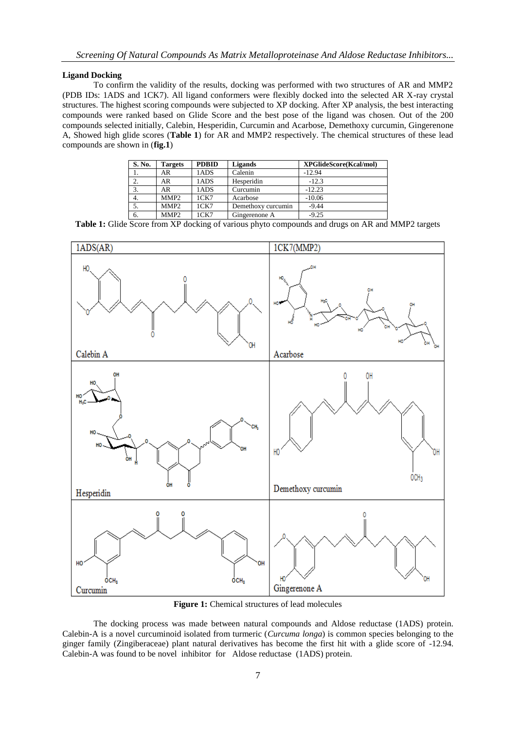### **Ligand Docking**

To confirm the validity of the results, docking was performed with two structures of AR and MMP2 (PDB IDs: 1ADS and 1CK7). All ligand conformers were flexibly docked into the selected AR X-ray crystal structures. The highest scoring compounds were subjected to XP docking. After XP analysis, the best interacting compounds were ranked based on Glide Score and the best pose of the ligand was chosen. Out of the 200 compounds selected initially, Calebin, Hesperidin, Curcumin and Acarbose, Demethoxy curcumin, Gingerenone A, Showed high glide scores (**Table 1**) for AR and MMP2 respectively. The chemical structures of these lead compounds are shown in (**fig.1**)

| S. No. | <b>Targets</b>   | <b>PDBID</b> | Ligands            | <b>XPGlideScore(Kcal/mol)</b> |
|--------|------------------|--------------|--------------------|-------------------------------|
|        | AR               | 1ADS         | Calenin            | $-12.94$                      |
| 2.     | AR               | 1ADS         | Hesperidin         | $-12.3$                       |
| 3.     | AR               | 1ADS         | Curcumin           | $-12.23$                      |
| 4.     | MMP <sub>2</sub> | 1CK7         | Acarbose           | $-10.06$                      |
|        | MMP <sub>2</sub> | 1CK7         | Demethoxy curcumin | $-9.44$                       |
| 6.     | MMP <sub>2</sub> | 1CK7         | Gingerenone A      | $-9.25$                       |

**Table 1:** Glide Score from XP docking of various phyto compounds and drugs on AR and MMP2 targets



**Figure 1:** Chemical structures of lead molecules

The docking process was made between natural compounds and Aldose reductase (1ADS) protein. Calebin-A is a novel curcuminoid isolated from turmeric (*Curcuma longa*) is common species belonging to the ginger family (Zingiberaceae) plant natural derivatives has become the first hit with a glide score of -12.94. Calebin-A was found to be novel inhibitor for Aldose reductase (1ADS) protein.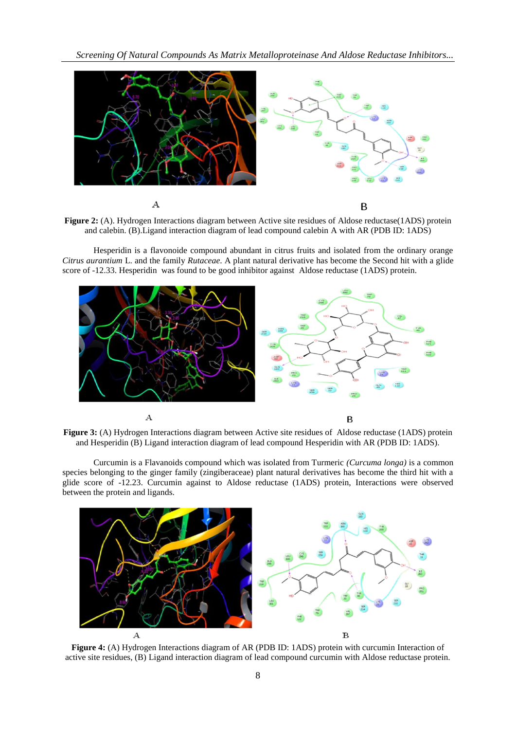*Screening Of Natural Compounds As Matrix Metalloproteinase And Aldose Reductase Inhibitors...*



**Figure 2:** (A). Hydrogen Interactions diagram between Active site residues of Aldose reductase(1ADS) protein and calebin. (B).Ligand interaction diagram of lead compound calebin A with AR (PDB ID: 1ADS)

Hesperidin is a flavonoide compound abundant in citrus fruits and isolated from the ordinary orange *Citrus aurantium* L. and the family *Rutaceae*. A plant natural derivative has become the Second hit with a glide score of -12.33. Hesperidin was found to be good inhibitor against Aldose reductase (1ADS) protein.





Curcumin is a Flavanoids compound which was isolated from Turmeric *(Curcuma longa)* is a common species belonging to the ginger family (zingiberaceae) plant natural derivatives has become the third hit with a glide score of -12.23. Curcumin against to Aldose reductase (1ADS) protein, Interactions were observed between the protein and ligands.



**Figure 4:** (A) Hydrogen Interactions diagram of AR (PDB ID: 1ADS) protein with curcumin Interaction of active site residues, (B) Ligand interaction diagram of lead compound curcumin with Aldose reductase protein.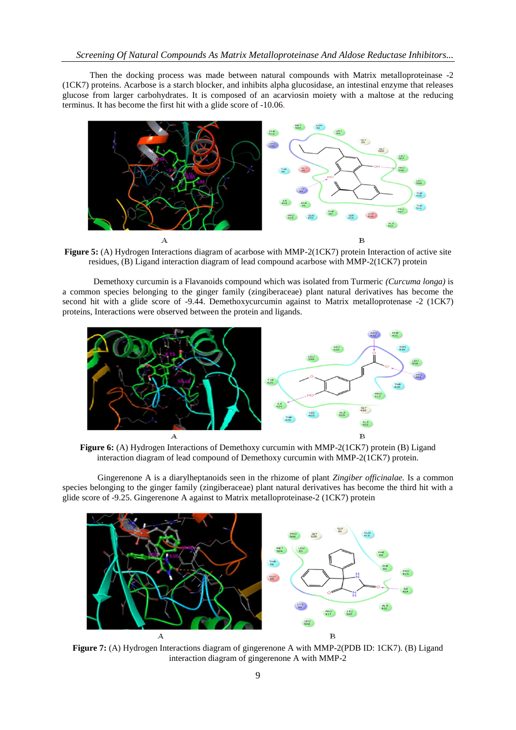Then the docking process was made between natural compounds with Matrix metalloproteinase -2 (1CK7) proteins. Acarbose is a starch blocker, and inhibits [alpha glucosidase,](https://en.wikipedia.org/wiki/Alpha_glucosidase) an intestinal enzyme that releases [glucose](https://en.wikipedia.org/wiki/Glucose) from larger [carbohydrates.](https://en.wikipedia.org/wiki/Carbohydrate) It is composed of an [acarviosin](https://en.wikipedia.org/wiki/Acarviosin) moiety with a [maltose](https://en.wikipedia.org/wiki/Maltose) at the reducing terminus. It has become the first hit with a glide score of -10.06.



**Figure 5:** (A) Hydrogen Interactions diagram of acarbose with MMP-2(1CK7) protein Interaction of active site residues, (B) Ligand interaction diagram of lead compound acarbose with MMP-2(1CK7) protein

Demethoxy curcumin is a Flavanoids compound which was isolated from Turmeric *(Curcuma longa)* is a common species belonging to the ginger family (zingiberaceae) plant natural derivatives has become the second hit with a glide score of -9.44. Demethoxycurcumin against to Matrix metalloprotenase -2 (1CK7) proteins, Interactions were observed between the protein and ligands.



**Figure 6:** (A) Hydrogen Interactions of Demethoxy curcumin with MMP-2(1CK7) protein (B) Ligand interaction diagram of lead compound of Demethoxy curcumin with MMP-2(1CK7) protein.

Gingerenone A is a diarylheptanoids seen in the rhizome of plant *Zingiber officinalae.* Is a common species belonging to the ginger family (zingiberaceae) plant natural derivatives has become the third hit with a glide score of -9.25. Gingerenone A against to Matrix metalloproteinase-2 (1CK7) protein



**Figure 7:** (A) Hydrogen Interactions diagram of gingerenone A with MMP-2(PDB ID: 1CK7). (B) Ligand interaction diagram of gingerenone A with MMP-2